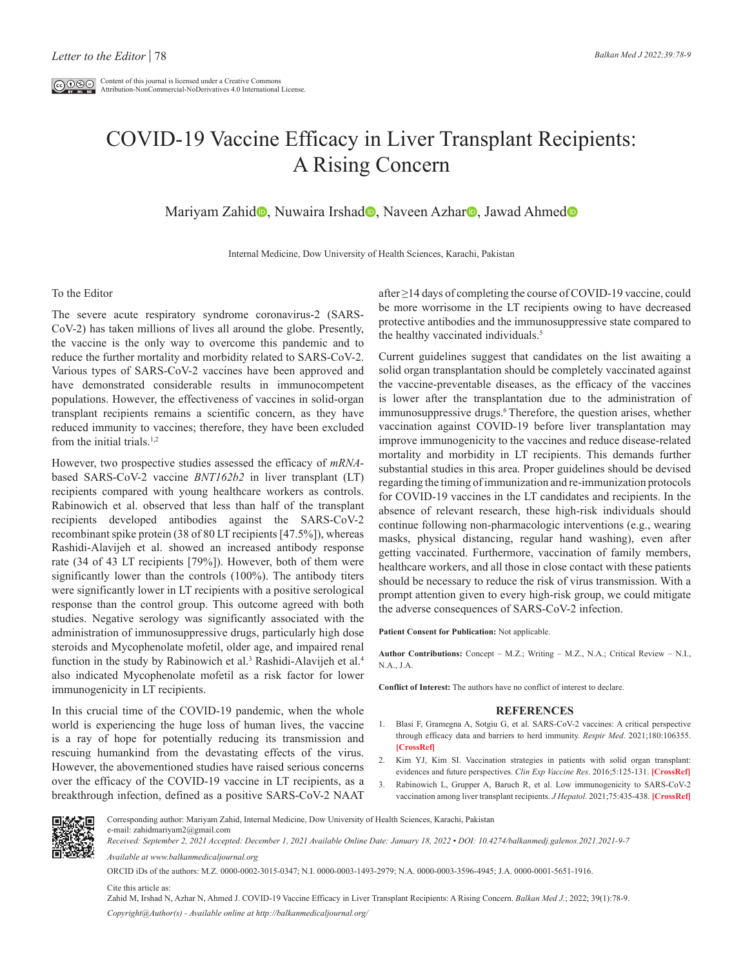## COVID-19 Vaccine Efficacy in Liver Transplant Recipients: A Rising Concern

Mariyam Zahi[d](https://orcid.org/0000-0001-5651-1916)<sup>o</sup>, Nuwaira Irshad<sup>o</sup>, Naveen Azhar<sup>o</sup>, Jawad Ahmed<sup>o</sup>

Internal Medicine, Dow University of Health Sciences, Karachi, Pakistan

## To the Editor

The severe acute respiratory syndrome coronavirus-2 (SARS-CoV-2) has taken millions of lives all around the globe. Presently, the vaccine is the only way to overcome this pandemic and to reduce the further mortality and morbidity related to SARS-CoV-2. Various types of SARS-CoV-2 vaccines have been approved and have demonstrated considerable results in immunocompetent populations. However, the effectiveness of vaccines in solid-organ transplant recipients remains a scientific concern, as they have reduced immunity to vaccines; therefore, they have been excluded from the initial trials. $1,2$ 

However, two prospective studies assessed the efficacy of *mRNA*based SARS-CoV-2 vaccine *BNT162b2* in liver transplant (LT) recipients compared with young healthcare workers as controls. Rabinowich et al. observed that less than half of the transplant recipients developed antibodies against the SARS-CoV-2 recombinant spike protein (38 of 80 LT recipients [47.5%]), whereas Rashidi-Alavijeh et al. showed an increased antibody response rate (34 of 43 LT recipients [79%]). However, both of them were significantly lower than the controls (100%). The antibody titers were significantly lower in LT recipients with a positive serological response than the control group. This outcome agreed with both studies. Negative serology was significantly associated with the administration of immunosuppressive drugs, particularly high dose steroids and Mycophenolate mofetil, older age, and impaired renal function in the study by Rabinowich et al.<sup>3</sup> Rashidi-Alavijeh et al.<sup>4</sup> also indicated Mycophenolate mofetil as a risk factor for lower immunogenicity in LT recipients.

In this crucial time of the COVID-19 pandemic, when the whole world is experiencing the huge loss of human lives, the vaccine is a ray of hope for potentially reducing its transmission and rescuing humankind from the devastating effects of the virus. However, the abovementioned studies have raised serious concerns over the efficacy of the COVID-19 vaccine in LT recipients, as a breakthrough infection, defined as a positive SARS-CoV-2 NAAT

after ≥14 days of completing the course of COVID-19 vaccine, could be more worrisome in the LT recipients owing to have decreased protective antibodies and the immunosuppressive state compared to the healthy vaccinated individuals.<sup>5</sup>

Current guidelines suggest that candidates on the list awaiting a solid organ transplantation should be completely vaccinated against the vaccine-preventable diseases, as the efficacy of the vaccines is lower after the transplantation due to the administration of immunosuppressive drugs.<sup>6</sup> Therefore, the question arises, whether vaccination against COVID-19 before liver transplantation may improve immunogenicity to the vaccines and reduce disease-related mortality and morbidity in LT recipients. This demands further substantial studies in this area. Proper guidelines should be devised regarding the timing of immunization and re-immunization protocols for COVID-19 vaccines in the LT candidates and recipients. In the absence of relevant research, these high-risk individuals should continue following non-pharmacologic interventions (e.g., wearing masks, physical distancing, regular hand washing), even after getting vaccinated. Furthermore, vaccination of family members, healthcare workers, and all those in close contact with these patients should be necessary to reduce the risk of virus transmission. With a prompt attention given to every high-risk group, we could mitigate the adverse consequences of SARS-CoV-2 infection.

**Patient Consent for Publication:** Not applicable.

**Author Contributions:** Concept – M.Z.; Writing – M.Z., N.A.; Critical Review – N.I., N.A., J.A.

**Conflict of Interest:** The authors have no conflict of interest to declare.

## **REFERENCES**

- 1. Blasi F, Gramegna A, Sotgiu G, et al. SARS-CoV-2 vaccines: A critical perspective through efficacy data and barriers to herd immunity. *Respir Med*. 2021;180:106355. **[\[CrossRef\]](https://doi.org/10.1016/j.rmed.2021.106355)**
- 2. Kim YJ, Kim SI. Vaccination strategies in patients with solid organ transplant: evidences and future perspectives. *Clin Exp Vaccine Res*. 2016;5:125-131. **[\[CrossRef\]](https://doi.org/10.7774/cevr.2016.5.2.125)**
- 3. Rabinowich L, Grupper A, Baruch R, et al. Low immunogenicity to SARS-CoV-2 vaccination among liver transplant recipients. *J Hepatol*. 2021;75:435-438. **[\[CrossRef\]](https://doi.org/10.1016/j.jhep.2021.04.020)**



Corresponding author: Mariyam Zahid, Internal Medicine, Dow University of Health Sciences, Karachi, Pakistan e-mail: zahidmariyam2@gmail.com *Received: September 2, 2021 Accepted: December 1, 2021 Available Online Date: January 18, 2022 • DOI: 10.4274/balkanmedj.galenos.2021.2021-9-7*

*Available at www.balkanmedicaljournal.org*

ORCID iDs of the authors: M.Z. 0000-0002-3015-0347; N.I. 0000-0003-1493-2979; N.A. 0000-0003-3596-4945; J.A. 0000-0001-5651-1916.

Cite this article as:

Zahid M, Irshad N, Azhar N, Ahmed J. COVID-19 Vaccine Efficacy in Liver Transplant Recipients: A Rising Concern. *Balkan Med J.*; 2022; 39(1):78-9. *Copyright@Author(s) - Available online at http://balkanmedicaljournal.org/*